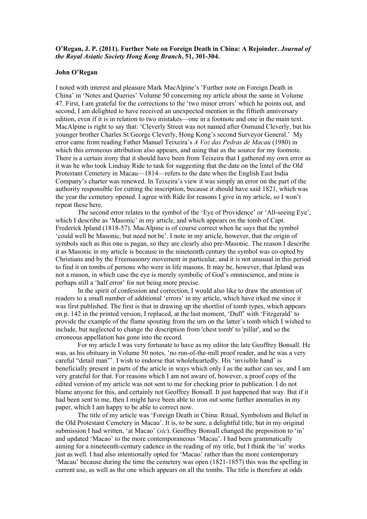## **O'Regan, J. P. (2011). Further Note on Foreign Death in China: A Rejoinder.** *Journal of the Royal Asiatic Society Hong Kong Branch***, 51, 301-304.**

## **John O'Regan**

I noted with interest and pleasure Mark MacAlpine's 'Further note on Foreign Death in China' in 'Notes and Queries' Volume 50 concerning my article about the same in Volume 47. First, I am grateful for the corrections to the 'two minor errors' which he points out, and second, I am delighted to have received an unexpected mention in the fiftieth anniversary edition, even if it is in relation to two mistakes—one in a footnote and one in the main text. MacAlpine is right to say that: 'Cleverly Street was not named after Osmund Cleverly, but his younger brother Charles St George Cleverly, Hong Kong's second Surveyor General.' My error came from reading Father Manuel Teixeira's *A Voz das Pedras de Macau* (1980) in which this erroneous attribution also appears, and using that as the source for my footnote. There is a certain irony that it should have been from Teixeira that I gathered my own error as it was he who took Lindsay Ride to task for suggesting that the date on the lintel of the Old Protestant Cemetery in Macau—1814—refers to the date when the English East India Company's charter was renewed. In Teixeira's view it was simply an error on the part of the authority responsible for cutting the inscription, because it should have said 1821, which was the year the cemetery opened. I agree with Ride for reasons I give in my article, so I won't repeat these here.

The second error relates to the symbol of the 'Eye of Providence' or 'All-seeing Eye', which I describe as 'Masonic' in my article, and which appears on the tomb of Capt. Frederick Jpland (1818-57). MacAlpine is of course correct when he says that the symbol 'could well be Masonic, but need not be'. I note in my article, however, that the origin of symbols such as this one is pagan, so they are clearly also pre-Masonic. The reason I describe it as Masonic in my article is because in the nineteenth century the symbol was co-opted by Christians and by the Freemasonry movement in particular, and it is not unusual in this period to find it on tombs of persons who were in life masons. It may be, however, that Jpland was not a mason, in which case the eye is merely symbolic of God's omniscience, and mine is perhaps still a 'half error' for not being more precise.

In the spirit of confession and correction, I would also like to draw the attention of readers to a small number of additional 'errors' in my article, which have irked me since it was first published. The first is that in drawing up the shortlist of tomb types, which appears on p. 142 in the printed version, I replaced, at the last moment, 'Duff' with 'Fitzgerald' to provide the example of the flame spouting from the urn on the latter's tomb which I wished to include, but neglected to change the description from 'chest tomb' to 'pillar', and so the erroneous appellation has gone into the record.

For my article I was very fortunate to have as my editor the late Geoffrey Bonsall. He was, as his obituary in Volume 50 notes, 'no run-of-the-mill proof reader, and he was a very careful "detail man"'. I wish to endorse that wholeheartedly. His 'invisible hand' is beneficially present in parts of the article in ways which only I as the author can see, and I am very grateful for that. For reasons which I am not aware of, however, a proof copy of the edited version of my article was not sent to me for checking prior to publication. I do not blame anyone for this, and certainly not Geoffrey Bonsall. It just happened that way. But if it had been sent to me, then I might have been able to iron out some further anomalies in my paper, which I am happy to be able to correct now.

The title of my article was 'Foreign Death in China: Ritual, Symbolism and Belief in the Old Protestant Cemetery in Macau'. It is, to be sure, a delightful title, but in my original submission I had written, 'at Macao' (*sic*). Geoffrey Bonsall changed the preposition to 'in' and updated 'Macao' to the more contemporaneous 'Macau'. I had been grammatically aiming for a nineteenth-century cadence in the reading of my title, but I think the 'in' works just as well. I had also intentionally opted for 'Macao' rather than the more contemporary 'Macau' because during the time the cemetery was open (1821-1857) this was the spelling in current use, as well as the one which appears on all the tombs. The title is therefore at odds